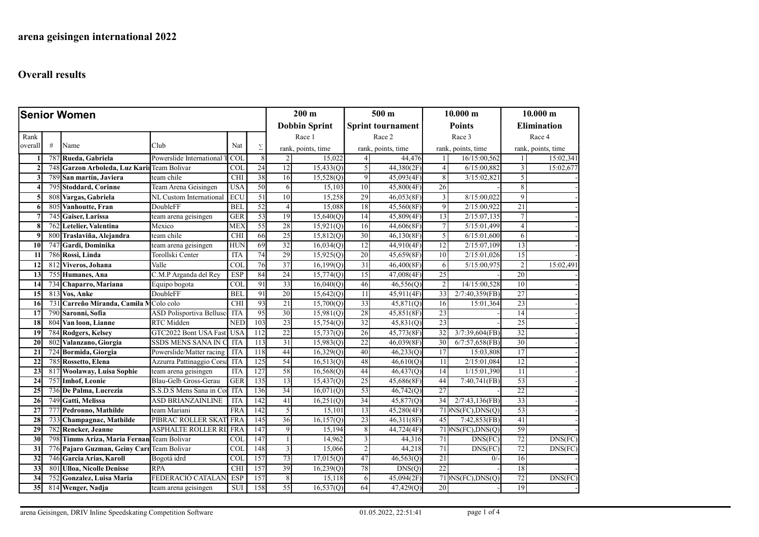| <b>Senior Women</b> |     |                                            |                                 |            | $200 \text{ m}$      |                    | 500 <sub>m</sub> |                          | 10.000 m                |                    | 10.000 m                  |                    |           |
|---------------------|-----|--------------------------------------------|---------------------------------|------------|----------------------|--------------------|------------------|--------------------------|-------------------------|--------------------|---------------------------|--------------------|-----------|
|                     |     |                                            |                                 |            | <b>Dobbin Sprint</b> |                    |                  | <b>Sprint tournament</b> | <b>Points</b>           |                    | <b>Elimination</b>        |                    |           |
| Rank                |     |                                            |                                 |            |                      |                    | Race 1           |                          | Race 2                  |                    | Race 3                    |                    | Race 4    |
| overall             | #   | Name                                       | Club                            | Nat        | Σ                    | rank, points, time |                  | rank, points, time       |                         | rank, points, time |                           | rank, points, time |           |
|                     | 787 | Rueda, Gabriela                            | Powerslide International        | COL        | 8                    | 2                  | 15,022           | $\vert 4 \vert$          | 44,476                  | $\mathbf{1}$       | 16/15:00,562              | $\overline{1}$     | 15:02,341 |
|                     | 748 | Garzon Arboleda, Luz Karil Team Bolivar    |                                 | COL        | $\overline{24}$      | 12                 | 15,433(Q)        | 5                        | 44,380(2F)              | $\overline{4}$     | 6/15:00,882               | 3                  | 15:02,677 |
| 3                   | 789 | <b>San martín, Javiera</b>                 | team chile                      | CHI        | 38                   | 16                 | 15,528(0)        | 9                        | 45,093(4F)              | 8                  | 3/15:02,821               | $\overline{5}$     |           |
|                     |     | 795 Stoddard, Corinne                      | Team Arena Geisingen            | <b>USA</b> | 50                   | 6                  | 15,103           | 10                       | 45,800(4F)              | 26                 |                           | $\lvert 8 \rvert$  |           |
| 5                   |     | 808 Vargas, Gabriela                       | NL Custom International         | ECU        | $\overline{51}$      | 10 <sup>1</sup>    | 15,258           | 29                       | 46,053(8F)              | 3                  | 8/15:00,022               | 9 <sup>1</sup>     |           |
| 6                   | 805 | Vanhoutte, Fran                            | DoubleFF                        | <b>BEL</b> | 52                   | $\overline{4}$     | 15,088           | 18                       | 45,560(8F)              | $\overline{9}$     | 2/15:00,922               | 21                 |           |
|                     | 745 | Gaiser, Larissa                            | team arena geisingen            | <b>GER</b> | 53                   | 19                 | 15,640(Q)        | 14                       | 45,809(4F)              | 13                 | 2/15:07,135               | 7                  |           |
| 8                   | 762 | Letelier, Valentina                        | Mexico                          | MEX        | 55                   | 28                 | 15,921(Q)        | 16                       | $\overline{44,606(8F)}$ | $7\phantom{.0}$    | 5/15:01,499               | 4                  |           |
| $\boldsymbol{q}$    |     | 800 Traslaviña, Alejandra                  | team chile                      | CHI        | 66                   | 25                 | 15,812(Q)        | 30                       | 46,130(8F)              | 5                  | 6/15:01,600               | 6                  |           |
| 10                  | 747 | Gardi, Dominika                            | team arena geisingen            | HUN        | 69                   | 32                 | 16,034(Q)        | 12                       | 44,910(4F)              | 12                 | 2/15:07,109               | 13                 |           |
| 11                  |     | 786 Rossi, Linda                           | Torollski Center                | <b>ITA</b> | 74                   | 29                 | 15,925(Q)        | 20                       | 45,659(8F)              | 10                 | 2/15:01,026               | 15                 |           |
| 12                  |     | 812 Viveros, Johana                        | Valle                           | COL        | 76                   | $\overline{37}$    | 16,199(Q)        | 31                       | 46,400(8F)              | 6                  | 5/15:00,975               | $\overline{2}$     | 15:02,491 |
| $\overline{13}$     |     | 755 Humanes, Ana                           | C.M.P Arganda del Rey           | <b>ESP</b> | 84                   | 24                 | 15,774(0)        | 15                       | 47,008(4F)              | 25                 |                           | 20                 |           |
| 14                  | 734 | Chaparro, Mariana                          | Equipo bogota                   | <b>COL</b> | 91                   | $\overline{33}$    | 16,040(Q)        | 46                       | 46,556(Q)               | $\overline{2}$     | 14/15:00,528              | 10                 |           |
| 15                  |     | 813 Vos, Anke                              | DoubleFF                        | <b>BEL</b> | 91                   | 20                 | 15,642(Q)        | 11                       | 45,911(4F)              | 33                 | $2/7:40,359$ (FB)         | 27                 |           |
| 16                  | 731 | Carreño Miranda, Camila M                  | Colo colo                       | CHI        | 93                   | $\overline{21}$    | 15,700(Q)        | 33                       | 45,871(Q)               | 16                 | 15:01,364                 | 23                 |           |
| 17                  |     | 790 Saronni, Sofia                         | <b>ASD Polisportiva Bellusc</b> | <b>ITA</b> | 95                   | 30                 | 15,981(Q)        | 28                       | 45,851(8F)              | $\overline{23}$    |                           | 14                 |           |
| 18                  |     | 804 Van loon, Lianne                       | RTC Midden                      | <b>NED</b> | 103                  | 23                 | 15,754(Q)        | 32                       | 45,831(Q)               | $\overline{23}$    |                           | $\overline{25}$    |           |
| 19                  |     | 784 Rodgers, Kelsey                        | GTC2022 Bont USA Fast           | <b>USA</b> | 112                  | 22                 | 15,737(Q)        | 26                       | 45,773(8F)              | 32                 | 3/7:39,604(FB)            | 32                 |           |
| 20                  | 802 | Valanzano, Giorgia                         | SSDS MENS SANA IN C             | <b>ITA</b> | 113                  | 31                 | 15,983(Q)        | 22                       | 46,039(8F)              | 30                 | $6/7:57,658$ (FB)         | 30                 |           |
| 21                  |     | 724 Bormida, Giorgia                       | Powerslide/Matter racing        | <b>ITA</b> | $\overline{118}$     | 44                 | 16,329(Q)        | 40                       | 46,233(Q)               | 17                 | 15:03,808                 | $\overline{17}$    |           |
| 22                  |     | 785 Rossetto, Elena                        | Azzurra Pattinaggio Corsa       | <b>ITA</b> | 125                  | 54                 | 16,513(Q)        | 48                       | $\overline{46,610(Q)}$  | 11                 | 2/15:01,084               | 12                 |           |
| 23                  | 817 | Woolaway, Luisa Sophie                     | team arena geisingen            | <b>ITA</b> | 127                  | 58                 | 16,568(Q)        | 44                       | 46,437(Q)               | 14                 | 1/15:01,390               | 11                 |           |
| 24                  | 757 | <b>Imhof, Leonie</b>                       | Blau-Gelb Gross-Gerau           | <b>GER</b> | 135                  | 13                 | 15,437(Q)        | 25                       | 45,686(8F)              | 44                 | 7:40,741(FB)              | 53                 |           |
| 25                  |     | 736 De Palma, Lucrezia                     | S.S.D.S Mens Sana in Co         | <b>ITA</b> | 136                  | 34                 | 16,071(Q)        | 53                       | 46,742(Q)               | 27                 |                           | 22                 |           |
| 26                  |     | 749 Gatti, Melissa                         | ASD BRIANZAINLINE               | <b>ITA</b> | 142                  | 41                 | 16,251(Q)        | 34                       | 45,877(Q)               | 34                 | $2/7:43,136$ (FB)         | 33                 |           |
| 27                  | 777 | Pedronno, Mathilde                         | team Mariani                    | <b>FRA</b> | 142                  | 5                  | 15,101           | 13                       | 45,280(4F)              |                    | $71 $ $NS(FC)$ , $DNS(Q)$ | 53                 |           |
| 28                  |     | 733 Champagnac, Mathilde                   | PIBRAC ROLLER SKAT              | FRA        | 145                  | 36                 | 16, 157(Q)       | 23                       | 46,311(8F)              | 45                 | 7:42,853(FB)              | 41                 |           |
| 29                  |     | 782 Rencker, Jeanne                        | <b>ASPHALTE ROLLER R</b>        | <b>FRA</b> | $\overline{147}$     | $\overline{9}$     | 15,194           | 8 <sup>1</sup>           | 44,724(4F)              |                    | $71$ NS(FC), DNS(Q)       | 59                 |           |
| 30                  | 798 | Timms Ariza, Maria Fernan Team Bolivar     |                                 | <b>COL</b> | 147                  |                    | 14,962           | 3                        | 44,316                  | 71                 | DNS(FC)                   | $\overline{72}$    | DNS(FC)   |
| 31                  |     | 776 Pajaro Guzman, Geiny Carı Team Bolivar |                                 | <b>COL</b> | 148                  | 3                  | 15,066           | $\overline{2}$           | 44,218                  | 71                 | DNS(FC)                   | 72                 | DNS(FC)   |
| 32                  |     | 746 Garcia Arias, Karoll                   | Bogotá idrd                     | <b>COL</b> | 157                  | 73                 | 17,015(Q)        | 47                       | 46,563(Q)               | 21                 | $0/-$                     | 16                 |           |
| $\overline{33}$     |     | 801 Ulloa, Nicolle Denisse                 | <b>RPA</b>                      | <b>CHI</b> | 157                  | 39                 | 16,239(Q)        | 78                       | DNS(Q)                  | 22                 |                           | 18                 |           |
| 34                  | 752 | Gonzalez, Luisa Maria                      | FEDERACIÓ CATALAN               | <b>ESP</b> | 157                  | 8                  | 15,118           | 6                        | 45,094(2F)              |                    | $71$ $N_S(FC)$ , $DNS(Q)$ | 72                 | DNS(FC)   |
| 35                  |     | 814 Wenger, Nadja                          | team arena geisingen            | <b>SUI</b> | 158                  | 55                 | 16,537(Q)        | 64                       | 47,429(Q)               | 20                 |                           | 19                 |           |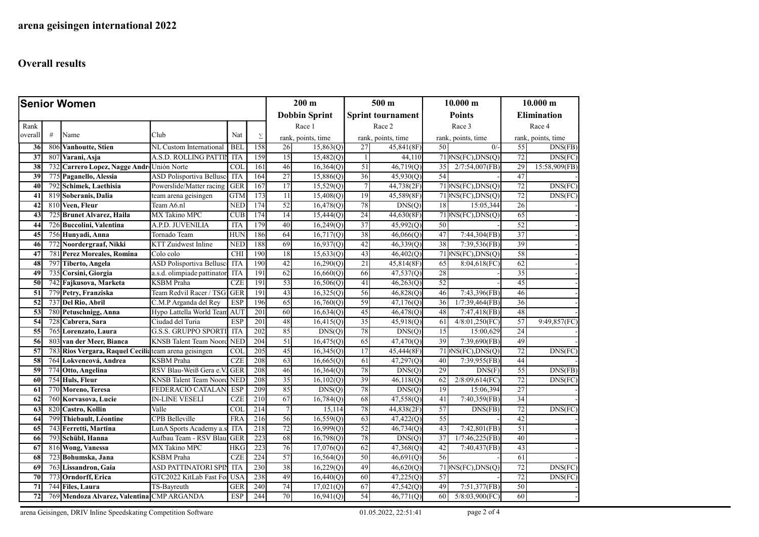| <b>Senior Women</b> |                 |                                                       |                                 |            |                  | $200 \text{ m}$ |                      | 500 m            |                          | 10.000 m      |                                           | 10.000 m           |                    |
|---------------------|-----------------|-------------------------------------------------------|---------------------------------|------------|------------------|-----------------|----------------------|------------------|--------------------------|---------------|-------------------------------------------|--------------------|--------------------|
|                     |                 |                                                       |                                 |            |                  |                 | <b>Dobbin Sprint</b> |                  | <b>Sprint tournament</b> | <b>Points</b> |                                           | <b>Elimination</b> |                    |
| Rank                |                 |                                                       |                                 |            |                  |                 | Race 1               |                  | Race 2                   |               | Race 3                                    |                    | Race 4             |
| overall             | $\#$            | Name                                                  | Club                            | Nat        | $\Sigma$         |                 | rank, points, time   |                  | rank, points, time       |               | rank, points, time                        |                    | rank, points, time |
| 36                  | 806             | <b>Vanhoutte</b> , Stien                              | NL Custom International         | <b>BEL</b> | 158              | 26              | 15,863(Q)            | 27               | 45,841(8F)               | 50            | $0/-$                                     | 55                 | DNS(FB)            |
| 37                  | 807             | Varani, Asja                                          | A.S.D. ROLLING PATTIN           | <b>ITA</b> | 159              | 15              | 15,482(Q)            | $\left  \right $ | 44,110                   |               | $71 $ $NS(FC), DNS(Q)$                    | 72                 | DNS(FC)            |
| 38                  | 732             | Carrero Lopez, Nagge Andr Unión Norte                 |                                 | <b>COL</b> | 161              | 46              | 16,364(Q)            | 51               | 46,719(Q)                | 35            | 2/7:54,007(FB)                            | 29                 | 15:58,909(FB)      |
| 39                  | 775             | Paganello, Alessia                                    | <b>ASD Polisportiva Bellusc</b> | <b>ITA</b> | 164              | 27              | 15,886(Q)            | 36               | 45,930(Q)                | 54            |                                           | 47                 |                    |
| 40                  | 792             | Schimek, Laethisia                                    | Powerslide/Matter racing        | <b>GER</b> | 167              | 17              | 15,529(Q)            | $7\overline{ }$  | 44,738(2F)               |               | $71 $ NS(FC),DNS(Q)                       | 72                 | DNS(FC)            |
| 41                  | 81 <sub>2</sub> | Soberanis, Dalia                                      | team arena geisingen            | <b>GTM</b> | 173              | 11              | 15,408(Q)            | 19               | 45,589(8F)               |               | $71 $ NS(FC), DNS(Q)                      | 72                 | DNS(FC)            |
| 42                  |                 | 810 Veen, Fleur                                       | Team A6.nl                      | <b>NED</b> | 174              | 52              | 16,478(Q)            | 78               | DNS(Q)                   | 18            | 15:05,344                                 | 26                 |                    |
| 43                  |                 | 725 Brunet Álvarez, Haila                             | MX Takino MPC                   | <b>CUB</b> | 174              | $\overline{14}$ | 15,444(Q)            | 24               | 44,630(8F)               |               | $71$ <sup>MS(FC), DNS(Q)</sup>            | 65                 |                    |
| 44                  |                 | 726 Buccolini, Valentina                              | A.P.D. JUVENILIA                | <b>ITA</b> | 179              | 40              | 16,249(Q)            | 37               | 45,992(Q)                | 50            |                                           | 52                 |                    |
| 45                  |                 | 756 Hunyadi, Anna                                     | Tornado Team                    | HUN        | 186              | 64              | 16,717(Q)            | 38               | 46,066(Q)                | 47            | 7:44,304(FB)                              | 37                 |                    |
| 46                  | 772             | Noordergraaf, Nikki                                   | <b>KTT Zuidwest Inline</b>      | <b>NED</b> | 188              | 69              | 16,937(Q)            | 42               | 46,339(Q)                | 38            | 7:39,536(FB)                              | 39                 |                    |
| 47                  | 781             | <b>Perez Moreales, Romina</b>                         | Colo colo                       | CHI        | 190              | 18              | 15,633(Q)            | 43               | 46,402(Q)                |               | $71$ <sub><i>p</i>NS(FC)</sub> , $DNS(Q)$ | 58                 |                    |
| 48                  | 797             | Tiberto, Angela                                       | <b>ASD Polisportiva Bellusc</b> | ITA        | 190              | 42              | 16,290(Q)            | 21               | 45,814(8F)               | 65            | 8:04,618(FC)                              | 62                 |                    |
| 49                  | 735             | Corsini, Giorgia                                      | a.s.d. olimpiade pattinator     | <b>ITA</b> | 191              | 62              | 16,660(Q)            | 66               | 47,537(Q)                | 28            |                                           | 35                 |                    |
| 50                  | 742             | Fajkusova, Marketa                                    | <b>KSBM</b> Praha               | <b>CZE</b> | 191              | 53              | 16,506(Q)            | 41               | 46,263(Q)                | 52            |                                           | 45                 |                    |
| 51                  |                 | 779 Petry, Franziska                                  | Team Redvil Racer / TSG         | <b>GER</b> | 191              | 43              | 16,325(Q)            | 56               | 46,828(Q)                | 46            | 7:43,396(FB)                              | 46                 |                    |
| $\overline{52}$     |                 | 737 Del Rio, Abril                                    | C.M.P Arganda del Rey           | <b>ESP</b> | 196              | 65              | 16,760(Q)            | 59               | 47,176(Q)                | 36            | 1/7:39,464(FB)                            | 36                 |                    |
| 53                  |                 | 780 Petuschnigg, Anna                                 | Hypo Lattella World Team        | <b>AUT</b> | 201              | 60              | 16,634(Q)            | 45               | 46,478(Q)                | 48            | 7:47,418(FB)                              | 48                 |                    |
| 54                  | 728             | Cabrera, Sara                                         | Ciudad del Turia                | <b>ESP</b> | 201              | 48              | 16,415(Q)            | 35               | 45,918(Q)                | 61            | 4/8:01,250(FC)                            | 57                 | 9:49,857(FC)       |
| 55                  |                 | 765 Lorenzato, Laura                                  | <b>G.S.S. GRUPPO SPORTI</b>     | <b>ITA</b> | 202              | 85              | DNS(Q)               | 78               | DNS(Q)                   | 15            | 15:00,629                                 | 24                 |                    |
| 56                  |                 | 803 van der Meer, Bianca                              | <b>KNSB</b> Talent Team Noord   | <b>NED</b> | 204              | 51              | 16,475(Q)            | 65               | 47,470(Q)                | 39            | 7:39,690(FB)                              | 49                 |                    |
| 57                  |                 | 783 Rios Vergara, Raquel Cecili: team arena geisingen |                                 | <b>COL</b> | 205              | 45              | 16,345(Q)            | 17               | 45,444(8F)               |               | $71$ $N_S(FC)$ , $DNS(Q)$                 | 72                 | DNS(FC)            |
| 58                  |                 | 764 Lokvencová, Andrea                                | <b>KSBM</b> Praha               | CZE        | 208              | 63              | 16,665(Q)            | 61               | 47,297(Q)                | 40            | 7:39,955(FB)                              | 44                 |                    |
| 59                  | 774             | Otto, Angelina                                        | RSV Blau-Weiß Gera e.V          | GER        | 208              | 46              | 16,364(Q)            | 78               | DNS(O)                   | 29            | DNS(F)                                    | $\overline{55}$    | DNS(FB)            |
| 60                  |                 | 754 Huls, Fleur                                       | <b>KNSB Talent Team Noord</b>   | <b>NED</b> | 208              | 35              | 16,102(Q)            | 39               | 46,118(Q)                | 62            | 2/8:09,614(FC)                            | 72                 | DNS(FC)            |
| 61                  |                 | 770 Moreno, Teresa                                    | FEDERACIÓ CATALAN               | <b>ESP</b> | 209              | 85              | DNS(Q)               | 78               | DNS(Q)                   | 19            | 15:06,394                                 | $\overline{27}$    |                    |
| 62                  |                 | 760 Korvasova, Lucie                                  | <b>IN-LINE VESELÍ</b>           | CZE        | $\overline{210}$ | 67              | 16,784(Q)            | 68               | 47,558(Q)                | 41            | $7:40,359$ (FB)                           | 34                 |                    |
| 63                  | 820             | <b>Castro, Kollin</b>                                 | Valle                           | <b>COL</b> | 214              | $\tau$          | 15,114               | 78               | 44,838(2F)               | 57            | DNS(FB)                                   | 72                 | DNS(FC)            |
| 64                  | 799             | Thiebault, Léontine                                   | <b>CPB Belleville</b>           | FRA        | $\overline{216}$ | 56              | 16,559(Q)            | 63               | 47,422(Q)                | 55            |                                           | $\overline{42}$    |                    |
| 65                  |                 | 743 Ferretti, Martina                                 | LunA Sports Academy a.s         | ITA        | 218              | 72              | 16,999(Q)            | 52               | 46,734(Q)                | 43            | 7:42,801(FB)                              | 51                 |                    |
| 66                  |                 | 793 Schübl, Hanna                                     | Aufbau Team - RSV Blau          | <b>GER</b> | 223              | 68              | 16,798(Q)            | 78               | DNS(Q)                   | 37            | 1/7:46,225(FB)                            | 40                 |                    |
| 67                  |                 | 816 Wong, Vanessa                                     | <b>MX Takino MPC</b>            | <b>HKG</b> | 223              | 76              | 17,076(Q)            | 62               | 47,368(Q)                | 42            | 7:40,437(FB)                              | 43                 |                    |
| 68                  | 723             | Bohumska, Jana                                        | <b>KSBM</b> Praha               | CZE        | 224              | 57              | 16,564(Q)            | 50               | 46,691(0)                | 56            |                                           | 61                 |                    |
| 69                  | 763             | Lissandron, Gaia                                      | ASD PATTINATORI SPIP            | ITA        | 230              | 38              | 16,229(Q)            | 49               | 46,620(Q)                |               | $71 $ )NS(FC),DNS(Q)                      | $72\,$             | DNS(FC)            |
| 70                  |                 | 773 Orndorff, Erica                                   | GTC2022 KitLab Fast For         | <b>USA</b> | 238              | 49              | 16,440(Q)            | 60               | 47,225(Q)                | 57            |                                           | 72                 | DNS(FC)            |
| 71                  |                 | 744 Files, Laura                                      | TS-Bayreuth                     | <b>GER</b> | 240              | 74              | 17,021(Q)            | 67               | 47,542(Q)                | 49            | 7:51,377(FB)                              | 50                 |                    |
| $\overline{72}$     |                 | 769 Mendoza Alvarez, Valentina CMP ARGANDA            |                                 | <b>ESP</b> | 244              | 70              | 16,941(Q)            | 54               | 46,771(Q)                | 60            | 5/8:03,900(FC)                            | 60                 |                    |

arena Geisingen, DRIV Inline Speedskating Competition Software 01.05.2022, 22:51:41 page 2 of 4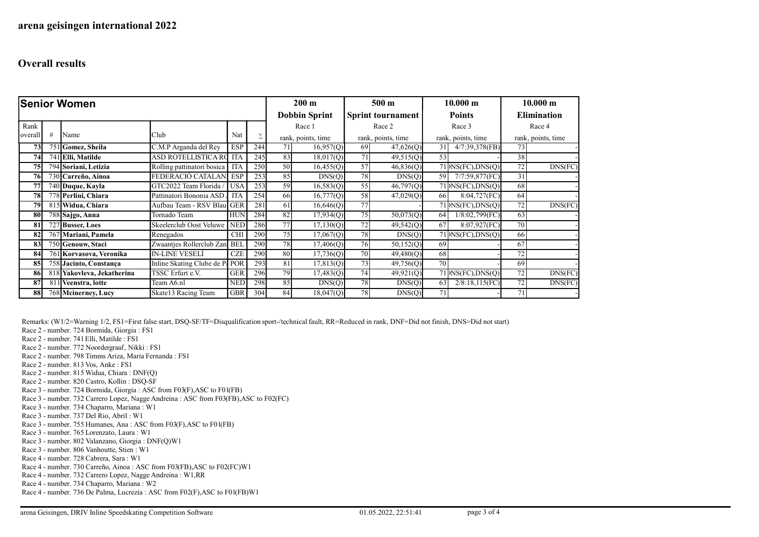| <b>Senior Women</b> |   |                            |                                |            |                      | $200 \text{ m}$ |                          | 500 <sub>m</sub> |                        | 10.000 m |                                                              | $10.000 \text{ m}$ |                    |
|---------------------|---|----------------------------|--------------------------------|------------|----------------------|-----------------|--------------------------|------------------|------------------------|----------|--------------------------------------------------------------|--------------------|--------------------|
|                     |   |                            |                                |            | <b>Dobbin Sprint</b> |                 | <b>Sprint tournament</b> |                  | <b>Points</b>          |          | <b>Elimination</b>                                           |                    |                    |
| Rank                |   |                            |                                |            |                      | Race 1          |                          | Race 2           |                        | Race 3   |                                                              | Race 4             |                    |
| overall             | # | Name                       | Club                           | Nat        | Σ                    |                 | rank, points, time       |                  | rank, points, time     |          | rank, points, time                                           |                    | rank, points, time |
| 73                  |   | 751 Gomez, Sheila          | C.M.P Arganda del Rey          | <b>ESP</b> | 244                  | 71              | 16,957(Q)                | 69               | 47,626(Q)              | 31       | 4/7:39,378(FB)                                               | 73                 |                    |
| 74                  |   | 741 Elli, Matilde          | ASD ROTELLISTICA RC            | <b>ITA</b> | 245                  | 83              | 18,017(Q)                | 71               | 49,515(Q)              | 53       |                                                              | 38                 |                    |
| 75                  |   | 794 Soriani, Letizia       | Rolling pattinatori bosica     | <b>ITA</b> | 250                  | 50              | 16,455(Q)                | 57               | $\overline{46,836(Q)}$ |          | $71$ $N_S$ (FC), DNS(Q)                                      | 72                 | DNS(FC)            |
| 76                  |   | 730 Carreño, Ainoa         | FEDERACIÓ CATALAN.             | <b>ESP</b> | 253                  | 85              | DNS(Q)                   | 78               | DNS(Q)                 | 59       | 7/7:59,877(FC)                                               | 31                 |                    |
| 77                  |   | 740 Duque, Kayla           | GTC2022 Team Florida /         | <b>USA</b> | 253                  | 59              | 16,583(Q)                | 55               | $\overline{46,797(Q)}$ |          | $71$ $\overline{\text{NS(FC)}}$ , $\overline{\text{DNS(Q)}}$ | 68                 |                    |
| 78                  |   | 778 Perlini, Chiara        | Pattinatori Bononia ASD        | <b>ITA</b> | 254                  | 66              | 16,777(Q)                | 58               | 47,029(Q)              | 66       | 8:04,727(FC)                                                 | 64                 |                    |
| 79                  |   | 815 Widua, Chiara          | Aufbau Team - RSV Blaul        | <b>GER</b> | 281                  | 61              | 16,646(Q)                | 77               |                        |          | $71$ $\rangle$ NS(FC), DNS(O)                                | 72                 | DNS(FC)            |
| 80                  |   | 788 Sajgo, Anna            | Tornado Team                   | <b>HUN</b> | 284                  | 82              | 17,934(Q)                | 75               | 50,073(Q)              | 64       | 1/8:02,799(FC)                                               | 63                 |                    |
| 81                  |   | 727 Busser, Loes           | Skeelerclub Oost Veluwe        | <b>NED</b> | 286                  | 77              | 17,130(Q)                | 72               | 49,542(Q)              | 67       | 8:07,927(FC)                                                 | 70                 |                    |
| 82                  |   | 767 Mariani, Pamela        | Renegados                      | <b>CHI</b> | 290                  | 75              | 17,067(Q)                | 78               | DNS(Q)                 |          | $71$ $N_S$ (FC), DNS(O)                                      | 66                 |                    |
| 83                  |   | 750 Genouw, Staci          | Zwaantjes Rollerclub Zan       | <b>BEL</b> | 290                  | 78              | 17,406(Q)                | 76               | 50,152(Q)              | 69       |                                                              | 67                 |                    |
| 84                  |   | 761 Korvasova, Veronika    | <b>IN-LINE VESELI</b>          | <b>CZE</b> | 290                  | 80              | 17,736(Q)                | 70 l             | 49,480(Q)              | 68       |                                                              | 72                 |                    |
| 85                  |   | 758 Jacinto, Constança     | Inline Skating Clube de P. POR |            | 293                  | 81              | 17,813(Q)                | 73               | 49,756(Q)              | 70       |                                                              | 69                 |                    |
| 86                  |   | 818 Yakovleva, Jekatherina | TSSC Erfurt e.V.               | <b>GER</b> | 296                  | 79              | 17,483(Q)                | 74               | 49,921(Q)              |          | $71$ $ NSCFC$ ), $DNS(Q)$                                    | 72                 | DNS(FC)            |
| 87                  |   | 811 Veenstra, lotte        | Team A6.nl                     | <b>NED</b> | 298                  | 85              | DNS(Q)                   | 78               | DNS(Q)                 | 63       | 2/8:18,115(FC)                                               | 72                 | DNS(FC)            |
| 88                  |   | 768 Mcinerney, Lucy        | Skate13 Racing Team            | <b>GBR</b> | 304                  | 84              | 18,047(Q)                | 78               | DNS(Q)                 | 71       |                                                              | 71                 |                    |

Remarks: (W1/2=Warning 1/2, FS1=First false start, DSQ-SF/TF=Disqualification sport-/technical fault, RR=Reduced in rank, DNF=Did not finish, DNS=Did not start)

Race 2 - number. 724 Bormida, Giorgia : FS1

Race 2 - number. 741 Elli, Matilde : FS1

Race 2 - number. 772 Noordergraaf, Nikki : FS1

Race 2 - number. 798 Timms Ariza, Maria Fernanda : FS1

- Race 2 number. 813 Vos, Anke : FS1
- Race 2 number. 815 Widua, Chiara : DNF(Q)
- Race 2 number. 820 Castro, Kollin : DSQ-SF

Race 3 - number. 724 Bormida, Giorgia : ASC from F03(F),ASC to F01(FB)

Race 3 - number. 732 Carrero Lopez, Nagge Andreina : ASC from F03(FB),ASC to F02(FC)

Race 3 - number. 734 Chaparro, Mariana : W1

Race 3 - number. 737 Del Rio, Abril : W1

Race 3 - number. 755 Humanes, Ana : ASC from F03(F),ASC to F01(FB)

Race 3 - number. 765 Lorenzato, Laura : W1

Race 3 - number. 802 Valanzano, Giorgia : DNF(Q)W1

Race 3 - number. 806 Vanhoutte, Stien : W1

Race 4 - number. 728 Cabrera, Sara : W1

Race 4 - number. 730 Carreño, Ainoa : ASC from F03(FB),ASC to F02(FC)W1

Race 4 - number. 732 Carrero Lopez, Nagge Andreina : W1,RR

Race 4 - number. 734 Chaparro, Mariana : W2

Race 4 - number. 736 De Palma, Lucrezia : ASC from F02(F),ASC to F01(FB)W1